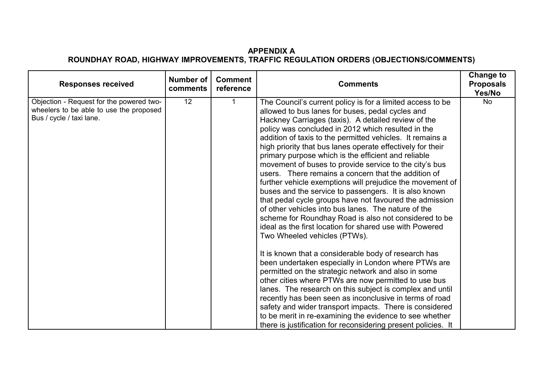## **APPENDIX A ROUNDHAY ROAD, HIGHWAY IMPROVEMENTS, TRAFFIC REGULATION ORDERS (OBJECTIONS/COMMENTS)**

| <b>Responses received</b>                                                                                       | Number of<br>comments | <b>Comment</b><br>reference | <b>Comments</b>                                                                                                                                                                                                                                                                                                                                                                                                                                                                                                                                                                                                                                                                                                                                                                                                                                                                                                                                                                                                                                                                                                                                                                                                                                                                                                                                                                                                                                                        | <b>Change to</b><br><b>Proposals</b><br>Yes/No |
|-----------------------------------------------------------------------------------------------------------------|-----------------------|-----------------------------|------------------------------------------------------------------------------------------------------------------------------------------------------------------------------------------------------------------------------------------------------------------------------------------------------------------------------------------------------------------------------------------------------------------------------------------------------------------------------------------------------------------------------------------------------------------------------------------------------------------------------------------------------------------------------------------------------------------------------------------------------------------------------------------------------------------------------------------------------------------------------------------------------------------------------------------------------------------------------------------------------------------------------------------------------------------------------------------------------------------------------------------------------------------------------------------------------------------------------------------------------------------------------------------------------------------------------------------------------------------------------------------------------------------------------------------------------------------------|------------------------------------------------|
| Objection - Request for the powered two-<br>wheelers to be able to use the proposed<br>Bus / cycle / taxi lane. | 12 <sup>°</sup>       |                             | The Council's current policy is for a limited access to be<br>allowed to bus lanes for buses, pedal cycles and<br>Hackney Carriages (taxis). A detailed review of the<br>policy was concluded in 2012 which resulted in the<br>addition of taxis to the permitted vehicles. It remains a<br>high priority that bus lanes operate effectively for their<br>primary purpose which is the efficient and reliable<br>movement of buses to provide service to the city's bus<br>users. There remains a concern that the addition of<br>further vehicle exemptions will prejudice the movement of<br>buses and the service to passengers. It is also known<br>that pedal cycle groups have not favoured the admission<br>of other vehicles into bus lanes. The nature of the<br>scheme for Roundhay Road is also not considered to be<br>ideal as the first location for shared use with Powered<br>Two Wheeled vehicles (PTWs).<br>It is known that a considerable body of research has<br>been undertaken especially in London where PTWs are<br>permitted on the strategic network and also in some<br>other cities where PTWs are now permitted to use bus<br>lanes. The research on this subject is complex and until<br>recently has been seen as inconclusive in terms of road<br>safety and wider transport impacts. There is considered<br>to be merit in re-examining the evidence to see whether<br>there is justification for reconsidering present policies. It | <b>No</b>                                      |